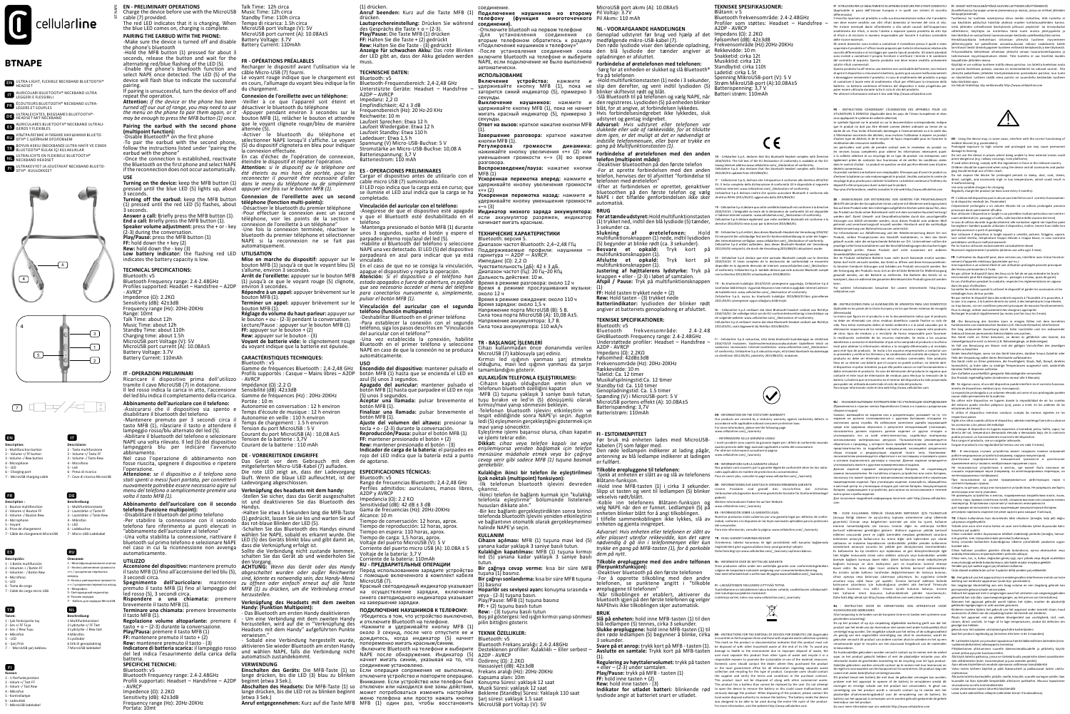

### **BTNAPE**



**FR DE**

**ES RU**

**NL**

**TR**





the blue LED comes on, charging is complete. **PAIRING THE EARBUD WITH THE PHONE:** -Make sure the device is turned off and disable the phone's bluetooth -Hold the MFB button (1) pressed for about 3

Ricaricare il dispositivo prima dell'utilizzo tramite il cavo MicroUSB (7) in dotazione. Il led rosso indica la carica in atto, l'accensione Sensibilité (dB) :42±3dB<br>del led blu indica il completamento della ricarica. Gamme de fréquences (Hz) : 20Hz-20KHz

*menu del telefono o semplicemente premere una*  **Verknüpfung des headsets mit dem handy:**<br>-Stellen Sie sicher, dass das Gerät ausgeschaltet<br>ist und deaktivieren Sie das Bluetooth des<br>Handys.

seconds, release the button and wait for the alternating red/blue flashing of the LED (5). -Enable the phone's bluetooth function and select NAPE once detected. The LED (5) of the device will flash blue to indicate the successful pairing. If pairing is unsuccessful, turn the device off and

led rosso (5), 3 secondi circa.<br>**Rispondere a una chiamata:** premere<br>brevemente il tasto MFB (1). **Terminare una chiamata:** premere brevemente

| tasto MFB (1). **Regolazione volume altoparlante:** premere il tasto + o – (2-3) durante la conversazione<br>Play/Pausa: premere il tasto MFB (1) **FF:** mantenere premuto il tasto + (2)<br>**Rew:** mantenere premuto il tasto - (3)

repeat the operation. **Attention:** *if the device or the phone has been turned off our out of range, you may need to use the menu on the phone to pair them again, or it* 

*may be enough to press the MFB button (1) once.* **Pairing the earbud with the second phone** 

## **(multipoint function):** -Disable Bluetooth® on the first phone

-To pair the earbud with the second phone, follow the instructions listed under "pairing the

earbud with the phone" -Once the connection is established, reactivate the Bluetooth on the first phone and select NAPE if the reconnection does not occur automatically.

# **USE Turning on the device:** keep the MFB button (1)

pressed until the blue LED (5) lights up, about *appuyer une fois sur le bouton MFB (1).* 3 seconds. **Turning off the earbud:** keep the MFB button (1) pressed until the red LED (5) flashes, about

3 seconds. **Answer a call:** Briefly press the MFB button (1). **End a call:** Briefly press the MFB button (1). **Speaker volume adjustment:** press the + or - key (2-3) during the conversation.

**Play/Pause:** press the MFB button (1) **FF:** hold down the + key (2) **Rew:** hold down the - key (3) **Low battery indicator:** the flashing red LED indicates the battery capacity is low.

DE - Cellularline S.p.A erklärt, dass dieses Bluetooth-Headset der Verordnung 2014/53/<br>EU entspricht.Der vollständige Text der EU-Konformitätserklärung ist unter der folgen:<br>den Internetadresse verfügbar: www.cellularline. 2011/65/EU entspricht, die durch die Verordnung 2015/863/EU aktualisiert wurde.

ES - Cellularline S.p.A declara que este auricular Bluetooth cumple con la directiva<br>2014/53/UE. El texto completo de la declaración de conformidad se encuentra<br>disponible en la siguiente dirección de Internet: www.cellula

### **TECHNICAL SPECIFICATIONS:**

Bluetooth: v5 Bluetooth Frequency range: 2.4-2.48GHz Profiles supported: Headset – Handsfree – A2DP - AVRCP Impedence (Ω): 2.2KΩ Sensitivity (dB): 42±3dB

Frequency range (Hz): 20Hz-20KHz Range: 10mt Talk Time: about 12h Music Time: about 12h Standby Time: about 110h Charging time: about 1.5h MicroUSB port Voltage (V): 5V MicroUSB port current (A): 10.08A±5 Battery Voltage: 3.7V Battery Current: 110mAh

#### **IT - OPERAZIONI PRELIMINARI**

.<br>Dellularline S.p.A verklaart dat deze Bluetooth-headset voldoet aan Richtlijn . 2014/S3/EU. De volledige tekst van de EU-conformiteitsverklaring is beschikbaar op<br>de volgende website: www.cellularline.com/\_/declaration-of-conformity.<br>Cellularline S.p.A verklaart tevens dat deze Bluetooth-headset voldo 2011/65/EU, zoals bijgewerkt bij Richtlijn 2015/863/EU.

### **Abbinamento dell'auricolare con il telefono:**

BT NAPE **EN - PRELIMINARY OPERATIONS**  Charge the device before use with the MicroUSB Music Time: 12h circa cable (7) provided. The red LED indicates that it is charging. When Tempo di ricarica: 1.5h circa

> Recharger le dispositif avant l'utilisation via le câble Micro-USB (7) fourni. Le voyant rouge indique que le chargement est en cours, l'allumage du voyant bleu indique la fin du chargement.<br>Connexion de l'oreillette avec un télénhones **Connexion de l'oreillette avec un téléphone:**<br>-Veiller à ce que l'appareil soit éteint et<br>désactiver le bluetooth du téléphone<br>-Appuyer pendant environ 3 secondes sur le

-Assicurarsi che il dispositivo sia spento e disabilitare il bluetooth del telefono -Mantenere premuto per 3 secondi circa il tasto MFB (1), rilasciare il tasto e attendere il lampeggio rosso/blu alternato del led (5). -Abilitare il bluetooth del telefono e selezionare

NAPE una volta rilevato. Il led (5) del dispositivo lampeggerà blu per indicare l'avvenuto abbinamento. Nel caso l'operazione di abbinamento non fosse riuscita, spegnere il dispositivo e ripetere

l'operazione. **Attenzione:** *se il dispositivo o il telefono sono stati spenti o messi fuori portata, per connetterli nuovamente potrebbe essere necessario agire sul* 

#### *volta il tasto MFB (1).* **Abbinamento dell'auricolare con il secondo**

**telefono (funzione multipoint):** -Disabilitare il bluetooh del primo telefono -Per stabilire la connessione con il secondo telefono fare riferimento ai punti elencati in "abbinamento dell'auricolare al telefono" -Una volta stabilita la connessione, riattivare il bluetooth sul primo telefono e selezionare NAPE

nel caso in cui la riconnessione non avvenga automaticamente.

l tasto MFB (1) fino all'accensione del led blu (5)<br>} secondi circa.

3 secondi circa.<br>**Spegnimento dell'auricolare:** mantenere<br>premuto il tasto MFB (1) fino al lampeggio del

**Indicatore di batteria scarica:** il lampeggio rosso del led indica l'esaurimento della carica della batteria.

## **SPECIFICHE TECNICHE:**

Bluetooth: v5 Bluetooth Frequency range: 2.4-2.48GHz Profili supportati: Headset – Handsfree – A2DP

- AVRCP Impedence (Ω): 2.2KΩ Sensitivity (dB): 42±3dB Frequency range (Hz): 20Hz-20KHz Portata: 10mt - Um eine Verbindung mit dem zweiten Handy herzustellen, wird auf die in "Verknüpfung des Headsets mit dem Handy" aufgeführten Punkte verwiesen."<br>- Sobald eine Verbindung hergestellt wurde, **ПОДКЛЮЧЕНИЕ НАУШНИКОВ К ТЕЛЕФОНУ:** -Убедитесь в том, что устройство выключено,<br>и отключите Bluetooth на телефоне. и отключите Bluetooth на телефоне.<br>-Нажмите и удерживайте кнопку MFB (1)<br>около 3 секунд, после чего отпустите ее и<br>дождитесь, когда индикатор (5) начнет<br>попеременно мигать красным/синим.<br>-Включите Bluetooth на телефоне и

des Gesprächs die Taste + o – (2-3).<br>des Gesprächs die Taste + o – (2-3).<br>Plav/Pause: Die Taste MFB (1) drücken **Play/Pause:** Die Taste MFB (1) drücken **FF:** Halten Sie die Taste + (2) gedrückt **Rew:** Halten Sie die Taste - (3) gedrückt **Anzeige für schwachen Akku:** Das rote Blinken der LED gibt an, dass der Akku geladen werden

Cargar el dispositivo antes de utilizarlo con el cable micro USB (7) suministrado. El LED rojo indica que la carga está en curso; que se ilumine el LED azul indica que la carga se ha completado.<br>Vinculación del auricular con el teléfono

**Vinculación del auricular con el teléfono:**<br>-Asegúrese de que el dispositivo esté apagado<br>y que el Bluetooth esté deshabilitado en el<br>teléfono -Mantenga presionado el botón MFB (1) durante

parpadeo alterno rojo/azul del led (5).<br>-Habilite el Bluetooth del teléfono y seleccione<br>NAPE una vez detectado. El LED (5) del dispositivo<br>parpadeará en azul para indicar que ya está

FR - Cellularline S.p.A déclare que cette oreillette bluetooth est conforme à la directive 2014/53/UE. L'intégralité du texte de la déclaration de conformité UE est disponible à l'adresse Internet suivante : www.cellularline.com/\_/declaration-of-conformity. Cellularline S.p.A déclare également que cette oreillette bluetooth est conforme à la directive 2011/65/EU mise à jour par la directive 2015/863/EU.

імісгойзы (7).<br>Красный светодиодный индикатор указывает на осуществление зарядки, включение синего светодиодного индикатора указывает

начнет мигать синим, указывая на то, что<br>Соединение установлено.<br>Если операция сопряжения не выполнена,<br>отключите устройство и повторите операцию.<br>Внимание. Если устройство или телефон был

отключен или находился вне зоны действия,<br>может потребоваться изменить настройки<br>меню телефона или просто нажать кнопку<br>MFB (1) один раз, чтобы восстановить

TR - Bu bluetooth kulaklığın 2014/53/UE yönergesine uygunluğu, Cellularline S.p.A tarafından bildirilmiştir. Uygunluk Beyanının tam metnini aşağıdaki internet adresinde bulabilirsiniz: www.cellularline.com/\_/declaration-of-conformity Cellularline S.p.A, ayrıca bu bluetooth kulaklığın 2015/863/EU'dan güncellenen 2011/65/EU yönergesine uygun olduğunu bildirmiştir.

(1). **Завершение разговора:** краткое нажатие кнопки MFB (1). **Регулировка громкости динамика:**<br>нажимайте кнопку увеличения «+» (2) или<br>уменьшения громкости «—» (3) во время

разговора.<br>**Воспроизведение/пауза:** нажатие кнопки<br>MFB(1) **Ускоренная перемотка вперед:** нажмите и удерживайте кнопку увеличения громкости удерживалте вношку увелитении троммости<br>«+» (2)<br>Ускоренная перемотка назад: нажмите и **Ускоренная перемотка назад:** нажмите и<br>удерживайте кнопку уменьшения громкости<br>«—» (3) **Индикатор низкого заряда аккумулятора:**<br>если аккумулятор разряжен, индикатор<br>начинает мигать красным.

> FI - Cellularline S.p.A vakuuttaa, että tämä bluetooth-kuulokenappi on direktiivin 2014/53/UE mukainen. Vaatimuste saatavissa seuraavasta Internet-osoitteesta: www.cellularline.com/\_/declaration-of-conformity. Cellularline S.p.A vakuuttaa myös, että tämä bluetooth-kuulokenappi on direktiivin 2011/65/EU, päivitetty 2015/863/EU, mukainen.



# **EN - INFORMATION ON THE STATUTORY WARRANT**

Our products are covered by a statutory warranty against conformity defects in<br>accordance with applicable national consumer protection laws.<br>For more information, please see the following page<br>www.cellularline.com/\_/warran

**UTILIZZO Accensione del dispositivo:** mantenere premuto den Vorgang. **ACHTUNG:** *Wenn das Gerät oder das Handy abgeschaltet wurden oder außer Reichweite sind, könnte es notwendig sein, das Handy-Menü zu öffnen oder einfach erneut auf die Taste MFB (1) zu drücken, um die Verbindung erneut herzustellen.*

Talk Time: 12h circa Standby Time: 110h circa MicroUSB port Voltage (V): 5V MicroUSB port current (A): 10.08A±5 Battery Voltage: 3.7V Battery Current: 110mAh

### **FR - OPÉRATIONS PRÉALABLES**

Время в режиме прослушивания музыки около 12 ч Время в режиме ожидания: около 110 ч Время зарядки: около 1,5 ч Напряжение порта MicroUSB (В): 5 В. Сила тока порта MicroUSB (A): 10,08 А±5. Напряжение аккумулятора: 3,7 В. Сила тока аккумулятора: 110 мА/ч

(5) du dispositif clignotera en bleu pour indiquer la connexion effectuée. En cas d'échec de l'opération de connexion, éteindre le dispositif et répéter l'opération. **Attention:** *si le dispositif ou le téléphone ont* 

*été éteints ou mis hors de portée, pour les reconnecter il pourrait être nécessaire d'aller dans le menu du téléphone ou de simplement* 

#### **Connexion de l'oreillette avec un second téléphone (fonction multi-points):**

-Désactiver le bluetooth du premier téléphone -Pour effectuer la connexion avec un second téléphone, voir les points de la section « connexion de l'oreillette à un téléphone" -Une fois la connexion terminée, réactiver le bluetooth du premier téléphone et sélectionner unos 3 segundos, suelte el botón y espere el **ТЕХНИЧЕСКИЕ ХАРАКТЕРИСТИКИ** NAPE si la reconnexion ne se fait pas automatiquement.

**UTILISATION**<br>Mise en marche du dispositif: appuyer sur le<br>bouton MFB (1) jusqu'à ce que le voyant bleu (5)<br>s'allume, environ 3 secondes.<br>Arrêt de l'oreillette: appuyer sur le bouton MFB<br>environ 3 secondes.

**Répondre à un appel:** appuyer brièvement sur le<br>bouton MFB (1). (1) jusqu'à ce que le voyant rouge (5) clignote, estado apogados o fuera de cobertura, es posible<br>environ 3 secondes.<br>environ 3 secondes.<br>environ 3 secondes.

**EN** ULTRA-LIGHT, FLEXIBLE NECKBAND BLUETOOTH® HEADSET

**Voyant de batterie vide:** le clignotement rouge du voyant indique que la batterie est épuisée.

## **CARACTÉRISTIQUES TECHNIQUES:**

Bluetooth : v5 Gamme de fréquences Bluetooth : 2,4-2,48 GHz

Profils supportés : Casque – Mains libres – A2DP - AVRCP Impédance (Ω) :2.2 Ω

Portée : 10 m

Autonomie en conversation : 12 h environ Temps d'écoute de musique : 12 h environ Autonomie en veille : 110 h environ Temps de chargement : 1.5 h environ Tension du port MicroUSB : 5 V Courant du port MicroUSB (A) : 10,08 A±5 Tension de la batterie : 3,7V Courant de la batterie : 110 mAh

bouton MFB (1), relâcher le bouton et attendre que le voyant clignote rouge/bleu de manière A2DP – AVRCP Impedanz: 2,2 Ω Empfindlichkeit: 42 ± 3 dB Frequenzbereich (Hz): 20 Hz-20 KHz Reichweite: 10 m Laufzeit Sprechen: Etwa 12 h Laufzeit Wiedergabe: Etwa 12 h

**DE - VORBEREITENDE EINGRIFFE** Das Gerät vor dem Gebrauch mit dem mitgelieferten Micro-USB-Kabel (7) aufladen. Die rote LED zeigt an, dass der Ladevorgang läuft. Wenn die blaue LED aufleuchtet, ist der Ladevorgang abgeschlossen.

alternée (5). -Activer le bluetooth du téléphone et sélectionner NAPE lorsqu'il s'affiche. Le voyant Laufzeit Standby: Etwa 110 h Ladedauer: Etwa 1,5 h Spannung (V) Micro-USB-Buchse: 5 V Stromstärke an Micro-USB-Buchse: 10,08 A

| <b>Description:</b>         | Descrizione:                  |
|-----------------------------|-------------------------------|
| 1 - Multifunction button    | 1 - Tasto multifunzione       |
| 2 - Volume +/ FF button     | 2 - Volume +/ Tasto FF        |
| 3 - Volume -/ Rew button    | 3 - Volume -/ Tasto Rew       |
| 4 - Microphone              | 4 - Microfono                 |
| $5 - 1FD$                   | $5 - 1$ ed                    |
| 6 - Charging port           | 6 - Presa di ricarica         |
| 7 - MicroUSB charging cable | 7 - Cavo di ricarica MicroUSB |
|                             |                               |

-Halten Sie etwa 3 Sekunden lang die MFB-Taste

re internation to the Maxamitic Cale<br>Tilkoble ørepluggene til telefonen:<br>-Sjekk at enheten er slått av og slå av telefonens ar alles applicables en matière de protection du consommateur.<br>-Sjekk at enheten er slått av og sl Pour en savoir plus, consulter la page www.cellularline.com/\_/warranty

# **Verknüpfung des Headsets mit dem zweiten Handy: (Funktion Multipoint):** - Das Bluetooth am ersten Handy deaktivieren

- Sobald eine Verbindung hergestellt wurde, aktivieren Sie wieder Bluetooth am ersten Handy und wählen NAPE, falls die Verbindung nicht automatisch zustandekommt.

**VERWENDUNG Einschalten des Geräts:** Die MFB-Taste (1) so lange drücken, bis die LED (3) blau zu blinken beginnt (etwa 3 Sek.). **Abschalten des Headsets:** Die MFB-Taste (1) so

lange drücken, bis die LED rot zu blinken beginnt<br>(etwa 3 Sek.)<br>**Anruf entgegennehmen:** Kurz auf die Taste MFB

Surveiller les enfants quand ils utilisent le dispositif et garder les accessoires et les<br>emballages hors de leur portée.<br>Ne pas mettre le dispositif dans des endroits exposés à l'humidité, à la poussière, à<br>la suie, à la Pour la charge, utiliser exclusivement des chargeurs appropriés Recharger le produit régulièrement (au moins une fois tous les 3 mois).

muss.

**TECHNISCHE DATEN:**

Bluetooth: v5 Bluetooth-Frequenzbereich: 2,4-2,48 GHz Unterstützte Geräte: Headset – Handsfree –

 $\mathbf{D}^{\mathsf{E}} = \mathbf{A}/\mathbf{W} \mathbf{E} \mathbf{S}/\mathbf{W} \mathbf{S} \mathbf{S}/\mathbf{W} \mathbf{S} \mathbf{S}/\mathbf{W} \mathbf{S} \mathbf{S}/\mathbf{W} \mathbf{S} \mathbf{S}/\mathbf{W} \mathbf{S} \mathbf{S}/\mathbf{W} \mathbf{S} \mathbf{S}/\mathbf{W} \mathbf{S} \mathbf{S}/\mathbf{W} \mathbf{S} \mathbf{S}/\mathbf{W} \mathbf{S} \mathbf{S}/\mathbf{W} \mathbf{S} \mathbf{S}/\math$ Wiederverwertung von Materialressourcen unterstützt.

Für Informationen zur Abfalltennung und der Wiederwerwerung dieser Art von das Geräft<br>Produkt, sollten Privatpersonen das Geschäft kontaktieren, in dem das Geräft<br>Jesuitt wurde, oder die entsprechende Behörde vor Ort. Unte

Batteriespannung: 3,7 V Batteriestrom: 110 mAh

**ES - OPERACIONES PRELIMINARES** 

(1) gedrückt, lassen Sie sie los und warten Sie auf das rot-blaue Blinken der LED (5). -Schalten Sie das Bluetooth des Handys einund wählen Sie NAPE, sobald es erkannt wurde. Die LED (5) des Geräts blinkt blau und gibt damit an, Alcance: 10 m<br>Tiempo de conversación: 12 horas, aprox Tiempo de conversación: 12 horas, aprox. Tiempo de reproducción: 12 horas, aprox. Tiempo en espera: 110 horas, aprox. Tiempo de carga: 1,5 horas, aprox. Voltaje del puerto MicroUSB (V): 5 V

DE -Die Benutzung des Gerätes kann in einigen Fällen mit Funktionieren von medizinischen Geräten (z.B. Herzschrittmacher) interferieren

dass die Verknüpfung erfolgt ist. Sollte die Verbindung nicht zustande kommen, schalten Sie das Gerät ab und wiederholen Sie Corriente del puerto micro USB (A): 10.08A ± 5 Voltaje de la batería: 3,7 V Corriente de la batería: 110mAh Die lang andauernde Aussetzung durch hohe Lautstärke und ein andauernder<br>Gebrauch können permanente Gehörschäden verursachen.<br>Das Gerät nicht an Orten benutzen, an denen es gefährlich sein könnte, die Umweltgeräusche nicht zu hören (z.B. Bahnübergänge, an Bahnsteigen) Im Fall von Benutzung am Steuer sind die gültigen Vorschriften des jeweiligen

Teile der Verpackung außer deren Reichweite aufbewahren.<br>Das Gerät nicht an Orten platzieren, die Feuchtigkeit, Staub, Ruß, Dampf, direktes<br>Sonnenlicht, zu hohe oder zu niedrige Temperaturen ausgesetzt sind, andernfalls könnten Fehlfunktionen auftreten Zum Aufladen ausschließlich geeignete Akkuladegeräte verwenden Das Produkt regelmäßig laden (mindestens einmal alle 3 Monate).

**ES** - En algunos casos, el uso del dispositivo puede interferir en el c

vinculado. En el caso de que no se consiga la vinculación, apague el dispositivo y repita la operación. **Atención:** *Si el dispositivo o el teléfono han estado apagados o fuera de cobertura, es posible* 

Vinculación del auricular con el segundo<br>teléfono (función multipunto):<br>-Deshabilitar Bluetooth en el primer teléfono<br>-Para establecer la conexión con el segundo<br>teléfono, sigalos pasos descritos en "Vinculación

**ES** - INSTRUCCIONES PARA LA ELIMINACIÓN DE APARATOS PARA USO DOMÉSTICO (Aplicable en los países de la Unión Europea y en los que tienen sistemas de recogida<br>diferenciada)<br>La marca que figura en el producto o en la documentación indica que el producto<br>no debe ser eliminado con otros residuos d

*para conectarlos nuevamente o, simplemente,* 

*pulsar el botón MFB (1).*

**Terminer un appel:** appuyer brièvement sur le<br>bouton MFB (1).<br>**Réglage du volume du haut-parleur:** appuyer sur<br>le bouton + ou - (2-3) pendant la conversation.<br>Lecture/Pause : appuyer sur le bouton MFB (1) **FE: appuyer sur le bouton + ou - (2-3) pendant la conversation.<br>
Lecture/Pause : appuyer sur le bouton MFB (1)<br>
<b>FF:** appuyer sur le bouton + (2)<br> **Rew:** appuyer sur le bouton - (3)

(1) drücken. **Anruf beenden:** Kurz auf die Taste MFB (1) drücken. **Lautsprechereinstellung:** Drücken Sie während соединение. **Подключение наушников ко второму телефону (функция многоточечного соединения).**

del auricular con el teléfono"" -Una vez establecida la conexión, habilite Bluetooth en el primer teléfono y seleccione NAPE en caso de que la conexión no se produzca automáticamente. **USO Encendido del dispositivo:** mantener pulsado el botón MFB (1) hasta que se encienda el LED en azul (5) unos 3 segundos. **Apagado del auricular:** mantener pulsado el botón MFB (1) hasta que parpadee el LED en rojo (5) unos 3 segundos. **Aceptar una llamada:** pulsar brevemente el botón MFB (1). **Finalizar una llamada:** pulsar brevemente el norman Para Indiana e person precentente en<br>botón MFB (1).<br>**Ajuste del volumen del altavoz:** presionar la Ajuste del volumen del altavoz: presionar la<br>tecla + 0 - (2-3) durante la conversación.<br>Reproducción/Pausa: pulsar el botón MFB (1)<br>FF: mantener presionado el botón + (2)<br>Rew: mantener presionado el botón - (3) **Indicador de carga de la batería:** el parpadeo en rojo del LED indica que la batería está a punto

miento de dispositivos médicos (p.ej. marcapasos).<br>La exposición prolongada a un volumen elevado así como el uso prolongado pueden<br>causar daño permanente de la audición.<br>No utilice este dispositivo en lugares donde la impo del entorno pueda resultar peligroso (p.ej, pasos a nivel, en los andenes de las

de agotarse.

**ESPECIFICACIONES TÉCNICAS:** Bluetooth: v5

Rango de frecuencias Bluetooth: 2,4-2,48 GHz Perfiles admitidos: auriculares, manos libres, A2DP y AVRCP

Impedancia (Ω): 2.2 KΩ Sensitividad (dB): 42 dB ± 3 dB Gama de frecuencias (Hz): 20Hz-20KHz <sub>р</sub><br><sub>-</sub> **RU** - В некоторых случаях устройство может создавать п работе медицинских устройств (например, кардиостимуляторов). Длительная подверженность повышенной громкости и длительное применение могут вызвать необратимые нарушения слуха.

**RU - ПРЕДВАРИТЕЛЬНЫЕ ОПЕРАЦИИ**  Перед использованием зарядите устройство с помощью включенного в комплект кабеля

MicroUSB (7).

на завершение зарядки.

Символ, имеющийся на изделии или в документации, указывает на то, что<br>изделие не должно утилизироваться с другими бытовыми отходами по<br>окончании срока службы. Во избежание нанесения ущерба окружающей<br>среде или здоровью пе пользовательствать должных польдовательности и должных пользовательности.<br>Должен отделить данное изделие от других отходов утилизировать его со всей ответственностью, содействуя повторному использованию материальных ресурсов. Пользователям рекомендуется обратиться к продавцу, у которого было приобретено изделие, или местное представительство за подробной информацией, касающейся раздельного сбора отходов и рециркуляции изделий такого типа. Компаниямпользователям рекомендуется обратиться к их поставщику и проверить сроки и условия подписанного договора о покупке. Данное изделие запрещается

-Отключите bluetooh на первом телефоне -Для установления соединения со вторым телефоном обратитесь к разделу «Подключение наушников к телефону»" -После установления соединения снова

включите bluetooth на телефоне и выберите NAPE, если подключение не было выполнено автоматически.

Bluetooth: версия 5. Диапазон частот Bluetooth: 2,4–2,48 ГГц Поддерживаемые профили: наушники — гарнитура — A2DP — AVRCP.

Импеданс (Ω): 2,2 Ω<br>Чувствительность (дБ): 42 ± 3 дБ.<br>Диапазон частот (Гц): 20 Гц–20 КГц<br>Дальность действия: 10 м.<br>Время в режиме разговора: около 12 ч

**Tanım:**<br>1 - Çok fonksiyonlu tuş<br>2 - Ses +/ FF Tuşu<br>3 - Ses -/ Rew Tuşu<br>4 - Mikrofon 5 - LED 6 - Şarj Prizi 7 - MicroUSB şarj kablosu **TR - BAŞLANGIÇ İŞLEMLERİ** 

Cihazı kullanmadan önce donanımda verilen MicroUSB (7) kablosuyla şarj ediniz. Kırmızı led ışığının yanması şarj etmekte olduğunu, mavi led ışığının yanması da şarjın tamamlandığını gösterir. **KULAKLIĞIN TELEFONLA EŞLEŞTIRILMESI:**<br>-Cihazın kapalı olduğundan emin olun ve<br>telefonun bluetooth özelliğini kapatın -MFB (1) tuşunu yaklaşık 3 saniye basılı tutun,<br>tuşu bırakın ve led'in (5) dönüşümlü olarak<br>kırmızı/mavi yanıp sönmesini bekleyin. -Telefonun bluetooth işlevini etkinleştirin ve tespit edildiğinde sonra NAPE'yi seçin. Aygıtın ledi (5) eşleşmenin gerçekleştiğini göstermek için

ve işlemi tekrar edin. **Dikkat:** *cihaz veya telefon kapalı ise veya erişilemiyorsa yeniden bağlamak için telefon menüsüne müdahale etmek veya bir çağrıya cevap verir gibi sadece MFB (1) tuşuna basmak* 

*gerekebilir.*

**Kulaklığın ikinci bir telefon ile eşleştirilmesi (çok noktalı (multipoint) fonksiyon):** -İlk telefonun bluetooth işlevini devreden

çıkarınız.

-İkinci telefon ile bağlantı kurmak için "kulaklığı telefonla eşleştirme" bölümünde listelenen hususları dikkate alın." -Bir kez bağlantı gerçekleştirdikten sonra birinci telefonda bluetooth işlevini yeniden etkinleştirin ve bağlantının otomatik olarak gerçekleşmemesi

**KULLANIM**<br>**Cihazın açılması:** MFB (1) tuşuna mavi led (5)<br>yanana kadar yaklaşık 3 saniye basılı tutun.<br>**Kulaklığın kapatılması:** MFB (1) tuşuna kırmızı<br>led (5) yanana kadar yaklaşık 3 saniye basılı

halinde NAPE'yi seçin.

-----<br>gevolge kan hebben<br>rebruik voor het opladen uitsluitend geschikte batteri gebruik voor het opladen uitsluitend geschikte batterijladers laad het product regelmatig op (minstens één keer in de 3 maanden).

**Forbindelse af øretelefonen med telefonen:** -Sørg for at enheden er slukket og slå Bluetooth®<br>fra på teleforer

tutun. **Bir çağrıya cevap verme:** kısa bir süre MFB

tuşuna (1) basınız.

**Bir çağrıyı sonlandırma:** kısa bir süre MFB tuşuna (1) basınız **Hoparlör ses seviyesi ayarı:** konuşma sırasında +

veya - (2-3) tuşuna basın. Play/Pause: MFB (1) tuşuna basınız **FF:** + (2) tuşunu basılı tutun **Rew:** - (3) tuşunu basılı tutun

Özdirenç (Ω): 2.2KΩ<br>Hassasiyet (dB): 42±3dB<br>Frekans aralığı (H2): 20Hz-20KHz<br>Kapsama alanı: 10m<br>Konuşma Süresi: yaklaşık 12 saat

Boş pil göstergesi: led ışığın kırmızı yanıp sönmesi

**TEKNIK ÖZELLIKLER:**<br>Bluetooth: v5<br>Bluetooth Frekans aralığı: 2.4-2.48GHz<br>Desteklenen profiller: Kulaklıklı – Eller serbest –<br>A2DP - AVRCP

Muzik Süresi: yaklaşık 12 saat<br>Bekleme (Standby) Süresi: Yaklaşık 110 saat<br>Şarj süresi: yaklaşık 1.5 saat<br>MicroUSB port Voltajı (V): 5V

pilin bittiğini gösterir.

- INFORMAZIONI SULLA GARANZIA LEGALE I nostri prodotti sono coperti da garanzia legale per i difetti di conformità secondo quanto previsto dalle leggi nazionali applicabili a tutela del consumatore. Per ulteriori informazioni consultare la pagina:

r - Estrummen med enheten lades med MicroUSB-<br>Før bruk må enheten lades med MicroUSB-<br>kabelen (7) som følger med. kabelen (7) som følger med. Den røde ledlampen indikerer at lading pågår, antenning av blå ledlampe indikerer at ladingen er fullført.

www.cellularline.com/\_/warranty

-Koble inn telefonens Blåtann-funksjon og velg NAPE når den er funnet. Ledlampen (5) på enheten blinker blått for å angi tilkoblingen. I tilfelle sammenkoblingen ikke lykkes, slå av enheten og gjenta inngrepet.<br>Advarsel: Hvis enheten eller telefonen er slått av Advarsel: Hvis enheten eller telefonen er slått av<br>eller plassert utenfor rekkevidde, kan det være<br>nødvendig å gå inn i telefonmenyen eller kun<br>trykke en gang på MFB-tasten (1), for å parkoble<br>dem på nytt.

**IT** - ISTRUZIONI PER LO SMALTIMENTO DI APPARECCHIATURE PER UTENTI DOMESTICI (Applicabile in paesi dell'Unione Europea e in quelli con sistemi di raccolta differenziata)

non deve essere smaltito con altri rifiuti domestici al termine del ciclo di vita.<br>Per evitare eventuali danni all'ambiente o alla salute causati dall'inopportuno<br>smaltimento dei rifiuti, si invita l'utente a separare ques

di rifiuti e di riciclario in maniera responsabile per favorire il riutilizzo sostenibile<br>Gile l'risorse materiali.<br>Gil utenti domestici sono invitati a contattare il rivenditore presso il quale e stato<br>acquistato il prodo del contratto di acquisto. Questo prodotto non deve essere smaltito unitamente<br>ad altri rifiuti commerciali.<br>Questo prodotto ha all'interno una batteria non sostituibile dall'utente, non tentare<br>di aprire il dispositivo o

e danneggiare seriamente il prodotto. In caso di smaltimento del prodotto si prega<br>di contattare il locale ente di smaltimento rifiuti per effettuare la rimozione della<br>batteria. La batteria contenuta all'interno del dispo

**EN**-INSTRUCTIONS FOR THE DISPOSAL OF DEVICES FOR DOMESTIC LIS (Applicable<br>In contries in the European Union and those with separate waste collection systems)<br>This mark on the product or documentation indicates that this p or the local government office for all information regarding separate waster<br>collection and recycling for this type of product. Corporate users should contact<br>the supplier and verify the terms and conditions in the purcha den røde ledlampen (5) begynner å blinke, cirka

**Play/Pause:** trykk på MFB - tasten (1)<br>**FF:** hold inne tasten + (2)<br>**Rew:** hold inne tasten - (3)<br>**Indikator for utladet batteri:** blinkende *r*ød lysdiode angir at batteriet snart er utladet.

Bluetooth frekvensområde: 2.4-2.48GHz<br>Profiler som støttes: Headset – Handsfree –<br>A2DP - AVRCP<br>Impedans (Ω): 2.2KΩ<br>Følsomhet (dB): 42±3dB<br>Frekvensområde (Hz):20Hz-20KHz<br>Rekkevidde: 10 m Snakketid: cirka 12t Musikktid: cirka 12t Standbytid: cirka 110t

**ИСПОЛЬЗОВАНИЕ**<br>**Включение устройства:** нажмите и -Hold multifunktionstasten(1) nede i 3 sekunder,<br>удерживайте кнопку MFB (1), пока не slip den derefter, og vent indtil lysdioden (5) загорится синий индикатор (5), примерно 3 секунды. blinker skiftevist rødt og blåt. -Slå Bluetooth til på telefonen og vælg NAPE, når Batteri strøm: 110mAh

**Выключение наушников:** нажмите и<br>удерживайте кнопку MFB (1), пока не начнет<br>мигать красный индикатор (5), примерно 3<br>секунды.<br>**Ответ на вызов:** краткое нажатие кнопки MFB

.<br>Älä kosteudelle, pölylle, noelle, höyrylle, suoralle auringon valoll kuumalle tai liian kylmälle lämpötilalle altistuviin paikkoihin. Muussa tapauksena seurauksena voi olla toimintahäiriöitä Lataa yksinomaan sopivia latureita käyttämällä Lataa tuote säännöllisin väliajoin (vähintään kerran 3 kuukaudessa).

- **IT** AURICOLARI BLUETOOTH® NECKBAND ULTRA LEGGERI E FLESSIBILI
- 
- **FR** ÉCOUTEURS BLUETOOTH® NECKBAND ULTRA-LÉGERS ET SOUPLES
- **DE** ULTRALEICHTES, BIEGSAMES BLUETOOTH®- HEADSET MIT NECKBAND
- **ES** AURICULARES BLUETOOTH® NECKBAND ULTRALI-GEROS Y FLEXIBLES
- **RU** УЛЬТРАЛЕГКИЕ И ГИБКИЕ НАУШНИКИ BLUETO-OTH® С ШЕЙНЫМ ОГОЛОВЬЕМ
- **TR** BOYUN ASKILI (NECKBAND) ULTRA HAFİF VE ESNEK BLUETOOTH® KULAK İÇİ KULAKLIKLAR
- **NL** ULTRALICHTE EN FLEXIBELE BLUETOOTH® ECKBAND HEADSET
- 
- **FI** ULTRAKEVYET JA JOUSTAVAT NECKBAND BLUETO- OTH® -KUULOKKEET

#### **FI Kuvaus:** 1 - 1 Flerfunksjonstast 2 - Volum +/ Tast FF 4 - Mikrofon 5 - Kontrollampe

**FR** - INSTRUCTIONS CONCERNANT L'ÉLIMINATION DES APPAREILS POUR LES UTILISATEURS À DOMICILE (Applicable dans les pays de l'Union Européenne et dans

ceux appliquant le système de collecte sélective)<br>Le symbole figurant sur le produit ou sur la documentation correspondante, indique<br>que le produit ne doit pas être éliminé comme déchet ordinaire au terme de sa<br>durée de vi

d'autres type de déchets et de le recycler de façon responsable pour en favoriser la<br>réutilisation des ressources matérielles.<br>Les particuliers sont priés de prendre contact avec le revendeur du produit, ou<br>les sexvices lo

déchets commerciaux.<br>Ce produit contient une batterie non remplaçable. N'essayez pas d'ouvrir le produit ou<br>d'enlever la batterie car cela endommagerait le produit. Veuillez contacter le centre de l'<br>dispositif a été conçu

En cas d'utilisation pendant la conduite, respecter les règlementations en vigueur dans les pays d'utilisation.

**Description :** 1 - Bouton multifonction 2 - Volume +/ Bouton FF 3 - Volume -/ Bouton Rew **DE** - INFORMATIONEN ZUR GESETZLICH VORGESCHRIEBENEN GARANTIE Unsere Produkte sind gemäß den Vorschriften der örtlichen Verbraucherschutzgesetze durch eine gesetzliche Garantie für Konformitätsmängel gedeckt.

Weitere Informationen finden Sie auf der Website<br>ES - INFORMACIÓN SOBRE LA GARANTÍA LEGAL<br>ES - INFORMACIÓN SOBRE LA GARANTÍA LEGAL<br>Nuestros productos están cubiertos por una garantía legal por defectos de confor<br>midad, con midad, conforme a lo dispuesto en las leyes nacionales aplicables para la prote<br>del consumidor.<br>Nes més información, acasulta la addisse unum activitativa cami i investado.

4 - Microphone 5 - Voyant 6 - Prise de chargement 7 - Câble de chargement MicroUSB 3 - Lautstärke -/ Taste Rew 4 - Mikrofon 5 - LED 6 - Ladebuchse 7 - Micro-USB-Ladekabel

kann. Für weitere Informationen besuchen Sie unsere Internetseite http://www.

cellularline.com

Landes zu beachten Kinder beaufsichtigen, wenn sie das Gerät benutzen, darüber hinaus Zubehör oder

**Beschreibung:** 1 - Multifunktionstaste 2 - Lautstärke +/ Taste FF

Para más información, consulte la página: www.cellularline.com/\_/warranty

TR - YASAL GARANTİ HAKKINDA BİLGİLER<br>Ürünlerimiz; tüketici korunması ile ilgili yürürlükteki milli kanunlar bağlamında<br>öngörülenlere göre uygunsuzluklara karşı yasal garantiye sahiptir.<br>Daha fazla bilgi için www.cellularli

Tilkoble ørepluggene med den andre telfonen ML - INFORMATIE OVER DE WETTELIJKE GARANTIE

onze producten vallen onder een wettelijke garantie voor conformiteitsgebreken<br>- Deaktiver bluetooth på den første telefonen volgens de toepasbare nationale wetgeving voor consumentenbescheming.<br>- Deaktiver bluetooth på de

FI - LAKISÄÄTEISEEN TAKUUSEEN LIITTYVÄÄ TIETOA<br>Tuotteillamme on lakisääteinen takuu koskien virheitä, sovellettavien valtakunnalli-<br>sten kuluttajansuojalakien mukaisesti.<br>Lisätietoja varten, katso sivu www.cellularline.com



vida. Para evitar eventuales daños al medio ambiente o a la salud causados por la eliminación inoportuna de los residuos se invita al usuario a separar este producto de otros tipos de residuos y a reciclarlo de forma responsable para favorecer la reutilización sostenible de los recursos materiales. Se invita a los usuarios domésticos a contactar el distribuidor al que se ha comprado el producto o la oficina local para obtener la información relativa a la recogida diferenciada y al reciclado para este tipo de producto. Se invita a los usuarios empresariales a contactar con su proveedor y verificar los términos y las condiciones del contrato de compra. Este producto no debe ser eliminado con otros residuos comerciales. Este producto lleva en su interior una bateria que el usuario no puede sustituri, no intente abrir els els els dispositivo ni quitar la bateria ya que ello podría causar un mal funcionamiento o<br>dafiar seriamente el producto. En caso de Para mayor información visite el sitio web http://www.cellularline.com

mavi yanıp sönecektir. Eşleştirme işlemi başarısız olursa, cihazı kapatın **FI - ESITOIMENPITEET** 

estaciones de trenes) Si utiliza el dispositivo mientras conduce, cumpla las normas vigentes en los respectivos países

Vigile alos níños cuando utilizan el dispositivo, además mantenga fuera de su alcance<br>los accesorios y las piezas del embalaje<br>No coloque el dispositivo en lugares expuestos a humedad, polvo, hollín, vapor, luz<br>directa del

Не пользоваться устройством в местах, где может быть опасным не слышать окружающие звуки (например, на железнодорожных переездах, на железнодорожных платформах). При пользовании за рулем придерживаться действующих норм в соответствующих странах.

Следить за детьми, когда они пользуются устройством. Не разрешать им брать<br>аксессуары или части упаковки.<br>Не размещать устройство в местах, подверженных воздействию влаги, пыли,<br>копотк, пара, прямых солнечных лучей, слишк

регулярно заряжать изделие (не реже одного раза каждые 3 месяца);

TR- Cihazın kullanılması bazı durumlarda tıbbi cihazların (örneğin, kalp

çalışmasını engelleyebilir.<br>Yüksek sese uzun süre maruz kalma ve uzun süre kullanma işitme duyusunda kalıcı<br>hasarlara yol açabilir.<br>Cihazı civardaki sesleri duymamanın tehlikeli olabileceği yerlerde (örneğin, hemze-

#### **RU** - УКАЗАНИЯ БЫТОВЫМ ПОТРЕБИТЕЛЯМ ПО УТИЛИЗАЦИИ ОБОРУДОВАНИЯ (Применяются в странах-членах Европейского Союза и в странах с раздельным сбором отходов)

**Descripción:** 1 - 1 Botón multifunción 2 - Volumen + / Botón FF 3 - Volumen - / Botón Rew 4 - Micrófono 5 - LED 6 - Toma de carga 7 - Cable de carga micro USB **Описание:** 1 - Многофункциональная кнопка. 2 - Кнопка увеличения громкости «+» / ускоренная перемотка вперед. 3- Кнопка уменьшения громкости «-» / ускоренная перемотка назад. 4 - Микрофон. 5- Светодиодный индикатор. 6- Разъем зарядки 7- Кабель для зарядки MicroUSB.

утилизировать вместе с другими коммерческими отходами. Данное изделие содержит аккумуляторную батарею, не подлежащую замене пользователем. Не пытайтесь открыть устройство или снять батарею, поскольку это может привести к возникновению неисправностей и серьезным повреждениям изделия. При утилизации изделия, пожалуйста, обращайтесь в местный центр по утилизации отходов для снятия батареи. Аккумуляторная батарея, содержащаяся в устройстве, рассчитана на использование в течение всего срока службы изделия.

Для получения подробной информации посетите сайт http://www.cellularline. com

**TR** - EVDE KULLANIMA YÖNELİK CİHAZLARIN BERTARAFI İÇİN TALİMATLAR (Avrupa Birliği ülkeleri ile ayrıştırılmış toplama sistemlerine sahip ülkelerde<br>(geçerlidir) Ürünün veya belgelerinin üzerinde yer alan bu işaret, kullanım<br>omrünü tamamladığında söz konusu ürünün diğer ev atklarıyla birlik özendirmek amacıyla sorumlu bir şekilde geri dönüştürmesi önerilmektedir. Ev kullanıcıları bu tip ürünlerin ayrı toplanması ve geri dönüştürülmesiyle ilgili tüm bilgiler konusunda ürünü satın aldıkları satıcıyla veya bulundukları yerdeki daireyle bağlantı kurmaya davet edilir. Şirket kullanıcıları kendi tedarikçileriyle bağlantı kurmaya ve alım sözleşmesi şart ve koşullarını kontrol etmeye davet edilir. Bu ürün diğer ticari atıklarla birlikte bertaraf edilmemelidir. Bu ürünün içinde kullanıcı tarafından değiştirilemeyen bir batarya bulunur; cihazı açmaya veya bataryayı çıkarmaya çalışmayın, bu uygulama üründe arızalara veya ciddi hasar yol açabilir. Ürünün bertaraf edilmesi halinde<br>bataryanın çıkarılması için bulunduğunuz yerdeki atık bertaraf firmasıyla<br>bağlantı kurmanız rica edilir. Cihazın içinde bulunan batarya, ürünün<br>tüm Daha fazla bilgi almak için http://www.cellularline.com web sitesini ziyaret edin.

min geçitler, tren istasyonlarındaki peronlar) kullanmayın. Sürüş sırasında kullanırken bulunduğunuz ülkenin yürürlükteki yasalarına uygun hareket edin. Cihazı kullanan çocukları gözetim altında bulundurun, ayrıca aksesuarları veya

ambalaj elemanlarını erişemeyecekleri yerlerde saklayın. Cihazı nem, toz, is, buhar, doğrudan güneş ışığı, aşırı yüksek veya düşük sıcaklıklara maruz kalacağı yerlerde bulundurmayın, aksi halde arızalar meydana gelebilir Yeniden şarj için sadece uygun şarj cihazlarını kullanınız

Ürün düzenli aralıklarla (en az her 3 ayda bir defa) yeniden şarj edilmelidir.

**Beschreibung:** 1 Multifunktionstast 2 Lydstyrke +/ FF Tast 3 Lydstyrke -/ Rew tast 4 Mikrofon 5 Lysdioder 6 Stik til genopladning 7 MicroUSB ladekabel

**NL** - INSTRUCTIES VOOR DE VERNIETIGING VAN APPARATUUR VOOR

HUISHOUDELIJKE GEBRUIKERS (Van toepassing in de landen van de Europese Unie en in landen met systemen voor gescheiden inzameling) De op het product of op zijn verpakking afgebeelde markering geeft aan dat het

product aan het einde van zijn levensduur niet samen met ander huishoudelijk afval<br>vernietigd mag worden. Om mogelijke schade aan het milieu of de volksgezondheid<br>als gevolg van een ongeschikte vernietiging van afval te vo

verantwoorde wijze te recyclen om een duurzaam hergebruik van de materialen<br>De huishoudelijke gebruikers worden verzocht contact op te nemen met de winkel<br>waar ze het product gebruikers worden verzocht contact op te nemen

samen met ander bedrijfsshold vernietigd worden.<br>Dit product bevat een batterij die niet door de gebruiker vervangen kan worden;<br>prober niet het apparant te openen of de batterij te vervijderen omdat dit<br>storingen en ernst

gevaarlijk kan zijn (bijv. spoorwegovergangen, op het perron van treinstations). Wanneer het apparaat gebruikt wordt tijdens het rijden, moeten de plaatselijk geldende regelgevingen in acht worden genomen.

Kinderen moeten tijdens het gebruik van het apparaat onder toezicht staan; houd<br>accessoires of delen van de verpakking buiten het bereik van kinderen.<br>Plaats het apparaat niet op plekken blootgesteld aan vondtigheid, stof,

MicroUSB port akımı (A): 10.08A±5

**NL - VOORAFGAANDE HANDELINGEN<br>Genoplad udstyret før brug ved hjælp af det<br>medfølgende mikro-USB-kabel (7).<br>Den røde lysdiode viser den løbende opladning,<br>den blå lysdiode der tænder angiver at** 

den registreres. Lysdioden (5) på enheden blinker<br>blåt, for at angive, at forbindelsen lykkedes.<br>Hvis forbindelsesindgrebet ikke lykkedes, sluk<br>udstyret og gentag indgrebet.<br>**Advarsel:** Hvis udstyret eller telefonen var

Pil Voltajı: 3.7V Pil Akımı: 110 mAh

opladningen er afsluttet.

*slukkede eller ude af rækkevidde, for at tilslutte dem igen, er det muligt at det er nødvendigt at indstille telefonmenuen, eller bare at trykke en* 

*gang på Multifunktionstasten (1).*

 $FF:$  Hold tasten trykket nede + (2) **Rew:** Hold tasten - (3) trykket nede

**Forbindelse af øretelefonen med den anden telefon (multipoint måde):** -Deaktiver bluetoothen på den første telefon -For at oprette forbindelsen med den anden telefon, henvises der til afsnittet "forbindelse til telefonen med øretelefon" -Efter at forbindelsen er oprettet, genaktiver bluetoothen på den første telefon og vælg NAPE i det tilfælde genforbindelsen ikke sker automatisk.

**BRUG**

**For at tænde udstyret:** Hold multifunktionstasten (1) trykket ned, indtil den blå lysdiode (5) tænder, 3 sekunder ca. **Slukning af øretelefonen:** Hold Suckning af øretelefonen: Hold<br>multifunktionsknappen (1) nede, indtil lysdioden (5) begynder at blinke rødt (ca. 3 sekunder). **Besvare et opkald:** Tryk kort på multifunktionsknappen (1).<br>**Afslutte et opkald:** Tryk kort på<br>multifunktionsknappen (1).<br>**Justering af højttalerens lydstyrke:** Tryk på knappen + eller - (2-3) i løbet af samtalen. **Afspil / Pause:** Tryk på multifunktionsknappen

**Batteriindikator:** lysdioden der blinker rødt angiver at batteriets genopladning er afsluttet.

**TEKNISKE SPECIFIKATIONER:**

Bluetooth: v5 Bluetooth frekvensområde: 2.4-2.48 GHzBluetooth Frequency range: 2.4-2.48GHz Understøttede profiler: Headset – Handsfree – A2DP - AVRCP

Impedans (Ω): 2.2KΩ

Følsomhed: 42dB±3dB Frekvensområde (Hz): 20Hz-20KHz

Rækkevidde: 10 m Taletid: Ca. 12 timer

Musikafspilningstid:Ca. 12 timer Standby tid: Ca. 110 timer Genopladningstid: Ca. 1.5 timer Spænding (V) i MicroUSB-port: 5 V MicroUSB portens effekt (A): 10.08A±5

Batterispænding: 3,7V Batteristrøm: 110mAh

-Hold inne MFB-tasten (1) i cirka 3 sekunder. Slipp ut tasten og vent til ledlampen (5) blinker vekselvis rødt/blått.

-For å opprette tilkobling med den andre telefonen, se punktene angitt i "tilkoble ørepluggene til telefonen" -Når tilkoblingen er etablert, aktiverer du bluetooth igjen på den første telefonen og velger NAPEhvis ikke tilkoblingen skjer automatisk.

**BRUK**

**Slå på enheten:** hold inne MFB-tasten (1) til den blå ledlampen (5) tennes, cirka 3 sekunder. **Slukke ørepluggene:** hold inne MFB-tasten (1) til

3 sekunder.<br>**Svare på et anrop:** trykk kort på MFB - tasten (1).<br>**Avslutte en samtale:** Trykk kort på MFB-tasten<br>(1). **Regulering av høyttalervolumet:** trykk på tasten + eller – (2-3) under samtalen.<br>Play/Pause: trykk på MFB - tasten (1)

#### **TEKNISKE SPESIFIKASJONER:**

Blåtann: v 5<br>Bluetooth frekvensområde: 2.4-2.48GHz

Ladetid: cirka 1.5t Spenning MikroUSB-port (V): 5 V Strøm MikroUSB-port (A):10.08A±5 Batterispenning: 3,7 V

# $\epsilon$

EN - Cellularline S.p.A. declares that this bluetooth headset complies with Directive<br>2014/53/EU. The full text of the EU Declaration of conformity is available at the fol-<br>lowing Internet address:www.cellularline.com/\_/de

IT - CellularLine S.p.A, dichiara che il dispositivo è conforme alla direttiva 2014/53/<br>EU. Il testo completo della dichiarazione di conformità UE è disponibile al seguente<br>indirizzo Internet: www.cellularline.com/\_/declar

**FI** - OHJEET KOTITALOUSKÄYTÖSSÄ OLEVIEN LAITTEIDEN HÄVITTÄMISESTÄ (Sovellettavissa Euroopan unionin jäsenmaissa ja maissa, joissa on erilliset jätteiden

differenziata)<br>Il marchio riportato sul prodotto o sulla sua documentazione indica che il prodotto - Tuotteessa tai tuotteen asiakirjoissa oleva merkki tarkoittaa, että tuotetta ei saa kayttoian paatyttya havittaa yhdessa muiden kotitalousjatteiden kanssa.<br>Jotta jätteiden virheellisestä hävityksestä johtuvat ympäristö- tai terveyshaitat<br>vältettäisiin, käyttäjän on erotettava tämä tuote muista jätetyy

kierrateitava se vastuulisesti luonnonvarojen keskavaa uudelleenkäytöä varten.<br>Henkilössiakkaita kehotetaan ottamaan yhteyttä tuotteen myyneeseen<br>jälleenmyyjään tai paikalliseen asiaankuuluvaan tahoon saadakseen kaikki<br>tar

Käyttäjä ei voi vaihtaa tuotteen sisällä olevaa paristoa. Jos laitetta koetetaan avata<br>tai paristo koetetaan poistaa, vaarana on toimintahäiriöt tai vakavat vauriot. Ota<br>yhteyttä paikalliseen jätteiden hävityskeskukseen p

koko käyttöiän ajan. Jos haluat lisätietoja, käy verkkosivulla http://www.cellularline.com



EN - Using the device may, in some cases, interfere with the correct functioning of<br>Prolonged exposure to high volume and prolonged use may cause permanent<br>Prolonged exposure to high volume and prolonged use may cause perm

If used when driving, comply with the regulations in force in the relevant country.<br>Children should be supervised when using the device and all accessories and packa-<br>Do not expose the device for prolonged periods to damp,

IT - L'outlizzo del dispositivo può in alcuni casi niterferire con il corretto funzionamen-<br>L'esposizione prolungata a un volume elevato ed un utilizzo prolungato possono<br>L'esposizione prolungata a un volume elevato ed un

portata accessorio parti di packaging<br>Non collocare il dispositivo in luoghi esposti a umidità, polvere, fuliggine, vapore,<br>luce solare diretta, temperature troppo elevate o troppo basse, in caso contrario<br>potrebbero verif

FR-L'utilisation du dispositif peut, dans certains cas, interférer avec le bon fonction-<br>Ine exposition à un volume élevé et une utilisation prolongée peuvent provoquer<br>Une exposition à un volume élevé et une utilisation p

**FI**- Laitteiden käyttö voi joissakin tapauksissa häiritä lääkinnällisten laitteiden (esim.

Pitkäkestioinen altistuminen suurelle äänenvoimakkuudelle ja pitkitetty käyttö<br>Käi käytä laitetta paikoissa, joissa on tärkeää kuulla ympäristön äänet vaaratilantei-<br>Alä käytä laitetta paikoissa, joissa on tärkeää kuulla y

sydämentahdistinten) oikeaoppista toimintaa.

mattomissa

.<br>**NL - Het gebruik van het annaraat kan in enkele gevallen interfe** werking van medische apparatuur (zoals bijv. pacemakers).<br>Een langdurige blootstelling aan een hoog volume en een langdurig gebruik kan<br>permanente gehoorschade veroorzaken.<br>Gebruik het apparaat niet in omgevingen waar het

3 - Volum -/ Tast Rew 6 - Ladeuttak 7 - MikroUSB ladekabel